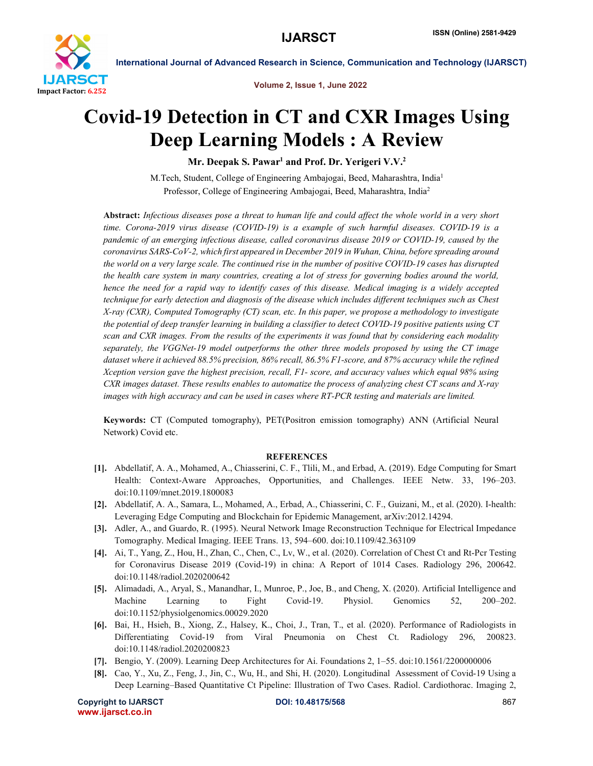

International Journal of Advanced Research in Science, Communication and Technology (IJARSCT)

Volume 2, Issue 1, June 2022

# Covid-19 Detection in CT and CXR Images Using Deep Learning Models : A Review

Mr. Deepak S. Pawar<sup>1</sup> and Prof. Dr. Yerigeri V.V.<sup>2</sup>

M.Tech, Student, College of Engineering Ambajogai, Beed, Maharashtra, India1 Professor, College of Engineering Ambajogai, Beed, Maharashtra, India2

Abstract: *Infectious diseases pose a threat to human life and could affect the whole world in a very short time. Corona-2019 virus disease (COVID-19) is a example of such harmful diseases. COVID-19 is a pandemic of an emerging infectious disease, called coronavirus disease 2019 or COVID-19, caused by the coronavirus SARS-CoV-2, which first appeared in December 2019 in Wuhan, China, before spreading around the world on a very large scale. The continued rise in the number of positive COVID-19 cases has disrupted the health care system in many countries, creating a lot of stress for governing bodies around the world, hence the need for a rapid way to identify cases of this disease. Medical imaging is a widely accepted technique for early detection and diagnosis of the disease which includes different techniques such as Chest X-ray (CXR), Computed Tomography (CT) scan, etc. In this paper, we propose a methodology to investigate the potential of deep transfer learning in building a classifier to detect COVID-19 positive patients using CT scan and CXR images. From the results of the experiments it was found that by considering each modality separately, the VGGNet-19 model outperforms the other three models proposed by using the CT image dataset where it achieved 88.5% precision, 86% recall, 86.5% F1-score, and 87% accuracy while the refined Xception version gave the highest precision, recall, F1- score, and accuracy values which equal 98% using CXR images dataset. These results enables to automatize the process of analyzing chest CT scans and X-ray images with high accuracy and can be used in cases where RT-PCR testing and materials are limited.*

Keywords: CT (Computed tomography), PET(Positron emission tomography) ANN (Artificial Neural Network) Covid etc.

### **REFERENCES**

- [1]. Abdellatif, A. A., Mohamed, A., Chiasserini, C. F., Tlili, M., and Erbad, A. (2019). Edge Computing for Smart Health: Context-Aware Approaches, Opportunities, and Challenges. IEEE Netw. 33, 196–203. doi:10.1109/mnet.2019.1800083
- [2]. Abdellatif, A. A., Samara, L., Mohamed, A., Erbad, A., Chiasserini, C. F., Guizani, M., et al. (2020). I-health: Leveraging Edge Computing and Blockchain for Epidemic Management, arXiv:2012.14294.
- [3]. Adler, A., and Guardo, R. (1995). Neural Network Image Reconstruction Technique for Electrical Impedance Tomography. Medical Imaging. IEEE Trans. 13, 594–600. doi:10.1109/42.363109
- [4]. Ai, T., Yang, Z., Hou, H., Zhan, C., Chen, C., Lv, W., et al. (2020). Correlation of Chest Ct and Rt-Pcr Testing for Coronavirus Disease 2019 (Covid-19) in china: A Report of 1014 Cases. Radiology 296, 200642. doi:10.1148/radiol.2020200642
- [5]. Alimadadi, A., Aryal, S., Manandhar, I., Munroe, P., Joe, B., and Cheng, X. (2020). Artificial Intelligence and Machine Learning to Fight Covid-19. Physiol. Genomics 52, 200–202. doi:10.1152/physiolgenomics.00029.2020
- [6]. Bai, H., Hsieh, B., Xiong, Z., Halsey, K., Choi, J., Tran, T., et al. (2020). Performance of Radiologists in Differentiating Covid-19 from Viral Pneumonia on Chest Ct. Radiology 296, 200823. doi:10.1148/radiol.2020200823
- [7]. Bengio, Y. (2009). Learning Deep Architectures for Ai. Foundations 2, 1–55. doi:10.1561/2200000006
- [8]. Cao, Y., Xu, Z., Feng, J., Jin, C., Wu, H., and Shi, H. (2020). Longitudinal Assessment of Covid-19 Using a Deep Learning–Based Quantitative Ct Pipeline: Illustration of Two Cases. Radiol. Cardiothorac. Imaging 2,